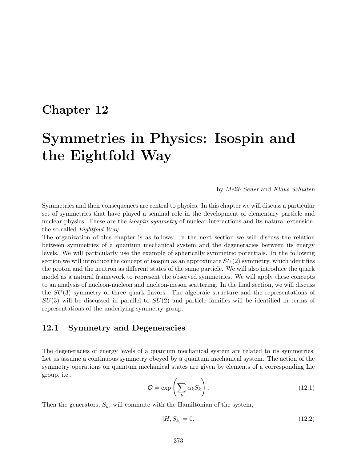# **Chapter 12**

# **Symmetries in Physics: Isospin and the Eightfold Way**

#### by *Melih Sener* and *Klaus Schulten*

Symmetries and their consequences are central to physics. In this chapter we will discuss a particular set of symmetries that have played a seminal role in the development of elementary particle and nuclear physics. These are the *isospin symmetry* of nuclear interactions and its natural extension, the so-called *Eightfold Way*.

The organization of this chapter is as follows: In the next section we will discuss the relation between symmetries of a quantum mechanical system and the degeneracies between its energy levels. We will particularly use the example of spherically symmetric potentials. In the following section we will introduce the concept of isospin as an approximate  $SU(2)$  symmetry, which identifies the proton and the neutron as different states of the same particle. We will also introduce the quark model as a natural framework to represent the observed symmetries. We will apply these concepts to an analysis of nucleon-nucleon and nucleon-meson scattering. In the final section, we will discuss the  $SU(3)$  symmetry of three quark flavors. The algebraic structure and the representations of  $SU(3)$  will be discussed in parallel to  $SU(2)$  and particle families will be identified in terms of representations of the underlying symmetry group.

### **12.1 Symmetry and Degeneracies**

The degeneracies of energy levels of a quantum mechanical system are related to its symmetries. Let us assume a continuous symmetry obeyed by a quantum mechanical system. The action of the symmetry operations on quantum mechanical states are given by elements of a corresponding Lie group, i.e.,

$$
\mathcal{O} = \exp\left(\sum_{k} \alpha_k S_k\right). \tag{12.1}
$$

Then the generators,  $S_k$ , will commute with the Hamiltonian of the system,

$$
[H, S_k] = 0. \t(12.2)
$$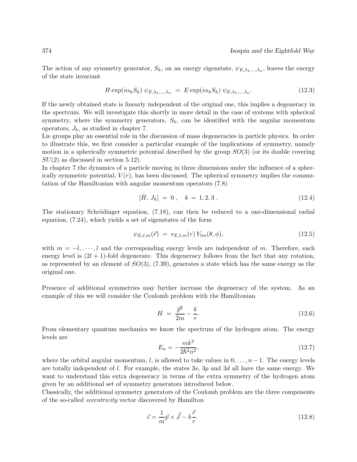The action of any symmetry generator,  $S_k$ , on an energy eigenstate,  $\psi_{E,\lambda_1,\dots,\lambda_n}$ , leaves the energy of the state invariant

$$
H \exp(i\alpha_k S_k) \psi_{E,\lambda_1,\dots,\lambda_n} = E \exp(i\alpha_k S_k) \psi_{E,\lambda_1,\dots,\lambda_n}.
$$
 (12.3)

If the newly obtained state is linearly independent of the original one, this implies a degeneracy in the spectrum. We will investigate this shortly in more detail in the case of systems with spherical symmetry, where the symmetry generators,  $S_k$ , can be identified with the angular momentum operators,  $J_k$ , as studied in chapter 7.

Lie groups play an essential role in the discussion of mass degeneracies in particle physics. In order to illustrate this, we first consider a particular example of the implications of symmetry, namely motion in a spherically symmetric potential described by the group  $SO(3)$  (or its double covering  $SU(2)$  as discussed in section 5.12).

In chapter 7 the dynamics of a particle moving in three dimensions under the influence of a spherically symmetric potential,  $V(r)$ , has been discussed. The spherical symmetry implies the commutation of the Hamiltonian with angular momentum operators (7.8)

$$
[\hat{H}, J_k] = 0, \quad k = 1, 2, 3. \tag{12.4}
$$

The stationary Schrödinger equation,  $(7.18)$ , can then be reduced to a one-dimensional radial equation, (7.24), which yields a set of eigenstates of the form

$$
\psi_{E,\ell,m}(\vec{r}) = v_{E,\ell,m}(r) Y_{\ell m}(\theta,\phi), \qquad (12.5)
$$

with  $m = -l, \dots, l$  and the corresponding energy levels are independent of m. Therefore, each energy level is  $(2l + 1)$ -fold degenerate. This degeneracy follows from the fact that any rotation, as represented by an element of  $SO(3)$ ,  $(7.39)$ , generates a state which has the same energy as the original one.

Presence of additional symmetries may further increase the degeneracy of the system. As an example of this we will consider the Coulomb problem with the Hamiltonian

$$
H = \frac{\bar{p}^2}{2m} - \frac{k}{r}.
$$
 (12.6)

From elementary quantum mechanics we know the spectrum of the hydrogen atom. The energy levels are

$$
E_n = -\frac{mk^2}{2\hbar^2 n^2},\tag{12.7}
$$

where the orbital angular momentum, l, is allowed to take values in  $0, \ldots, n-1$ . The energy levels are totally independent of  $l$ . For example, the states 3s, 3p and 3d all have the same energy. We want to understand this extra degeneracy in terms of the extra symmetry of the hydrogen atom given by an additional set of symmetry generators introduced below.

Classically, the additional symmetry generators of the Coulomb problem are the three components of the so-called *eccentricity* vector discovered by Hamilton

$$
\vec{\epsilon} = \frac{1}{m}\vec{p} \times \vec{J} - k\frac{\vec{r}}{r}.\tag{12.8}
$$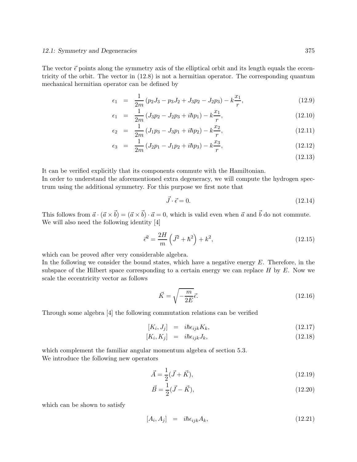The vector  $\vec{\epsilon}$  points along the symmetry axis of the elliptical orbit and its length equals the eccentricity of the orbit. The vector in (12.8) is not a hermitian operator. The corresponding quantum mechanical hermitian operator can be defined by

$$
\epsilon_1 = \frac{1}{2m} (p_2 J_3 - p_3 J_2 + J_3 p_2 - J_2 p_3) - k \frac{x_1}{r}, \qquad (12.9)
$$

$$
\epsilon_1 = \frac{1}{2m} (J_3 p_2 - J_2 p_3 + i \hbar p_1) - k \frac{x_1}{r}, \qquad (12.10)
$$

$$
\epsilon_2 = \frac{1}{2m} (J_1 p_3 - J_3 p_1 + i \hbar p_2) - k \frac{x_2}{r}, \qquad (12.11)
$$

$$
\epsilon_3 = \frac{1}{2m} (J_2 p_1 - J_1 p_2 + i \hbar p_3) - k \frac{x_3}{r}, \qquad (12.12)
$$

(12.13)

It can be verified explicitly that its components commute with the Hamiltonian.

In order to understand the aforementioned extra degeneracy, we will compute the hydrogen spectrum using the additional symmetry. For this purpose we first note that

$$
\vec{J} \cdot \vec{\epsilon} = 0. \tag{12.14}
$$

This follows from  $\vec{a} \cdot (\vec{a} \times \vec{b}) = (\vec{a} \times \vec{b}) \cdot \vec{a} = 0$ , which is valid even when  $\vec{a}$  and  $\vec{b}$  do not commute. We will also need the following identity [4]

$$
\bar{\epsilon}^2 = \frac{2H}{m} \left( \bar{J}^2 + \hbar^2 \right) + k^2,\tag{12.15}
$$

which can be proved after very considerable algebra.

In the following we consider the bound states, which have a negative energy  $E$ . Therefore, in the subspace of the Hilbert space corresponding to a certain energy we can replace  $H$  by  $E$ . Now we scale the eccentricity vector as follows

$$
\vec{K} = \sqrt{-\frac{m}{2E}}\vec{\epsilon}.\tag{12.16}
$$

Through some algebra [4] the following commutation relations can be verified

$$
[K_i, J_j] = i\hbar \epsilon_{ijk} K_k, \qquad (12.17)
$$

$$
[K_i, K_j] = i\hbar \epsilon_{ijk} J_k, \tag{12.18}
$$

which complement the familiar angular momentum algebra of section 5.3. We introduce the following new operators

$$
\vec{A} = \frac{1}{2}(\vec{J} + \vec{K}),\tag{12.19}
$$

$$
\vec{B} = \frac{1}{2}(\vec{J} - \vec{K}),\tag{12.20}
$$

which can be shown to satisfy

$$
[A_i, A_j] = i\hbar \epsilon_{ijk} A_k, \qquad (12.21)
$$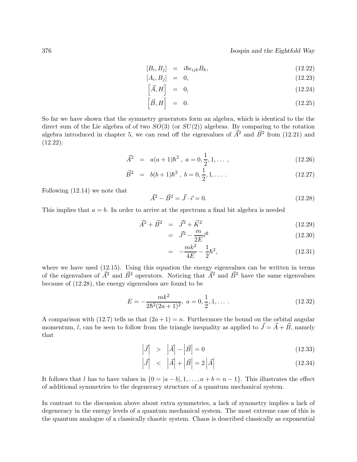#### 376 *Isospin and the Eightfold Way*

$$
[B_i, B_j] = i\hbar \epsilon_{ijk} B_k, \qquad (12.22)
$$

$$
[A_i, B_j] = 0, \t(12.23)
$$

$$
\left[\vec{A}, H\right] = 0, \tag{12.24}
$$

$$
\left[\vec{B},H\right] = 0. \tag{12.25}
$$

So far we have shown that the symmetry generators form an algebra, which is identical to the the direct sum of the Lie algebra of of two  $SO(3)$  (or  $SU(2)$ ) algebras. By comparing to the rotation algebra introduced in chapter 5, we can read off the eigenvalues of  $\tilde{A}^2$  and  $\tilde{B}^2$  from (12.21) and  $(12.22):$ 

$$
\vec{A}^2 = a(a+1)\hbar^2, \ a = 0, \frac{1}{2}, 1, \dots \,, \tag{12.26}
$$

$$
\vec{B}^2 = b(b+1)\hbar^2, \ b = 0, \frac{1}{2}, 1, \dots \tag{12.27}
$$

Following (12.14) we note that

$$
\vec{A}^2 - \vec{B}^2 = \vec{J} \cdot \vec{\epsilon} = 0.
$$
\n(12.28)

This implies that  $a = b$ . In order to arrive at the spectrum a final bit algebra is needed

$$
\vec{A}^2 + \vec{B}^2 = \vec{J}^2 + \vec{K}^2 \tag{12.29}
$$

$$
= \vec{J}^2 - \frac{m}{2E} \vec{\epsilon}^2 \tag{12.30}
$$

$$
= -\frac{mk^2}{4E} - \frac{1}{2}\hbar^2,\tag{12.31}
$$

where we have used (12.15). Using this equation the energy eigenvalues can be written in terms of the eigenvalues of  $\vec{A}^2$  and  $\vec{B}^2$  operators. Noticing that  $\vec{A}^2$  and  $\vec{B}^2$  have the same eigenvalues because of (12.28), the energy eigenvalues are found to be

$$
E = -\frac{mk^2}{2\hbar^2(2a+1)^2}, \ a = 0, \frac{1}{2}, 1, \dots \tag{12.32}
$$

A comparison with (12.7) tells us that  $(2a+1) = n$ . Furthermore the bound on the orbital angular momentum, l, can be seen to follow from the triangle inequality as applied to  $\vec{J} = \vec{A} + \vec{B}$ , namely that

$$
\left|\vec{J}\right| > \left|\vec{A}\right| - \left|\vec{B}\right| = 0\tag{12.33}
$$

$$
\left|\vec{J}\right| < \left|\vec{A}\right| + \left|\vec{B}\right| = 2\left|\vec{A}\right| \tag{12.34}
$$

It follows that l has to have values in  $\{0 = |a - b|, 1, \ldots, a + b = n - 1\}$ . This illustrates the effect of additional symmetries to the degeneracy structure of a quantum mechanical system.

In contrast to the discussion above about extra symmetries, a lack of symmetry implies a lack of degeneracy in the energy levels of a quantum mechanical system. The most extreme case of this is the quantum analogue of a classically chaotic system. Chaos is described classically as exponential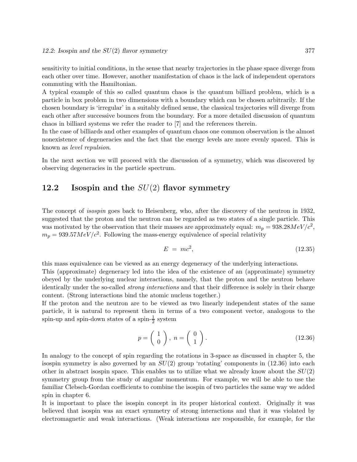sensitivity to initial conditions, in the sense that nearby trajectories in the phase space diverge from each other over time. However, another manifestation of chaos is the lack of independent operators commuting with the Hamiltonian.

A typical example of this so called quantum chaos is the quantum billiard problem, which is a particle in box problem in two dimensions with a boundary which can be chosen arbitrarily. If the chosen boundary is 'irregular' in a suitably defined sense, the classical trajectories will diverge from each other after successive bounces from the boundary. For a more detailed discussion of quantum chaos in billiard systems we refer the reader to [7] and the references therein.

In the case of billiards and other examples of quantum chaos one common observation is the almost nonexistence of degeneracies and the fact that the energy levels are more evenly spaced. This is known as *level repulsion*.

In the next section we will proceed with the discussion of a symmetry, which was discovered by observing degeneracies in the particle spectrum.

## **12.2 Isospin and the** SU(2) **flavor symmetry**

The concept of *isospin* goes back to Heisenberg, who, after the discovery of the neutron in 1932, suggested that the proton and the neutron can be regarded as two states of a single particle. This was motivated by the observation that their masses are approximately equal:  $m_p = 938.28 MeV/c^2$ ,  $m_p = 939.57 MeV/c^2$ . Following the mass-energy equivalence of special relativity

$$
E = mc^2,\tag{12.35}
$$

this mass equivalence can be viewed as an energy degeneracy of the underlying interactions. This (approximate) degeneracy led into the idea of the existence of an (approximate) symmetry obeyed by the underlying nuclear interactions, namely, that the proton and the neutron behave identically under the so-called *strong interactions* and that their difference is solely in their charge content. (Strong interactions bind the atomic nucleus together.)

If the proton and the neutron are to be viewed as two linearly independent states of the same particle, it is natural to represent them in terms of a two component vector, analogous to the spin-up and spin-down states of a spin- $\frac{1}{2}$  system

$$
p = \left(\begin{array}{c} 1 \\ 0 \end{array}\right), \ n = \left(\begin{array}{c} 0 \\ 1 \end{array}\right). \tag{12.36}
$$

In analogy to the concept of spin regarding the rotations in 3-space as discussed in chapter 5, the isospin symmetry is also governed by an  $SU(2)$  group 'rotating' components in  $(12.36)$  into each other in abstract isospin space. This enables us to utilize what we already know about the  $SU(2)$ symmetry group from the study of angular momentum. For example, we will be able to use the familiar Clebsch-Gordan coefficients to combine the isospin of two particles the same way we added spin in chapter 6.

It is important to place the isospin concept in its proper historical context. Originally it was believed that isospin was an exact symmetry of strong interactions and that it was violated by electromagnetic and weak interactions. (Weak interactions are responsible, for example, for the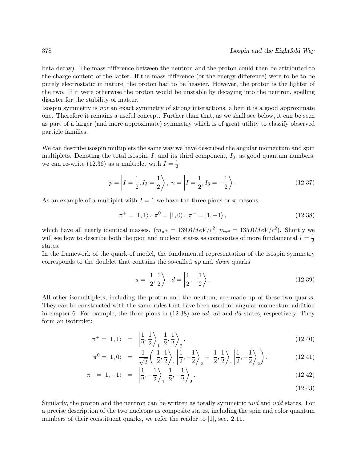beta decay). The mass difference between the neutron and the proton could then be attributed to the charge content of the latter. If the mass difference (or the energy difference) were to be to be purely electrostatic in nature, the proton had to be heavier. However, the proton is the lighter of the two. If it were otherwise the proton would be unstable by decaying into the neutron, spelling disaster for the stability of matter.

Isospin symmetry is *not* an exact symmetry of strong interactions, albeit it is a good approximate one. Therefore it remains a useful concept. Further than that, as we shall see below, it can be seen as part of a larger (and more approximate) symmetry which is of great utility to classify observed particle families.

We can describe isospin multiplets the same way we have described the angular momentum and spin multiplets. Denoting the total isospin,  $I$ , and its third component,  $I_3$ , as good quantum numbers, we can re-write (12.36) as a multiplet with  $I = \frac{1}{2}$ 

$$
p = \left| I = \frac{1}{2}, I_3 = \frac{1}{2} \right\rangle, \ n = \left| I = \frac{1}{2}, I_3 = -\frac{1}{2} \right\rangle.
$$
 (12.37)

As an example of a multiplet with  $I = 1$  we have the three pions or  $\pi$ -mesons

$$
\pi^{+} = |1, 1\rangle, \ \pi^{0} = |1, 0\rangle, \ \pi^{-} = |1, -1\rangle, \tag{12.38}
$$

which have all nearly identical masses.  $(m_{\pi^{\pm}} = 139.6 MeV/c^2, m_{\pi^0} = 135.0 MeV/c^2)$ . Shortly we will see how to describe both the pion and nucleon states as composites of more fundamental  $I = \frac{1}{2}$ states.

In the framework of the quark of model, the fundamental representation of the isospin symmetry corresponds to the doublet that contains the so-called *up* and *down* quarks

$$
u = \left| \frac{1}{2}, \frac{1}{2} \right\rangle, \ d = \left| \frac{1}{2}, -\frac{1}{2} \right\rangle. \tag{12.39}
$$

All other isomultiplets, including the proton and the neutron, are made up of these two quarks. They can be constructed with the same rules that have been used for angular momentum addition in chapter 6. For example, the three pions in (12.38) are  $u\bar{d}$ ,  $u\bar{u}$  and  $d\bar{u}$  states, respectively. They form an isotriplet:

$$
\pi^{+} = |1,1\rangle = \left| \frac{1}{2}, \frac{1}{2} \right\rangle_{1} \left| \frac{1}{2}, \frac{1}{2} \right\rangle_{2},\tag{12.40}
$$

$$
\pi^0 = |1, 0\rangle = \frac{1}{\sqrt{2}} \left( \left| \frac{1}{2}, \frac{1}{2} \right\rangle_1 \left| \frac{1}{2}, -\frac{1}{2} \right\rangle_2 + \left| \frac{1}{2}, \frac{1}{2} \right\rangle_1 \left| \frac{1}{2}, -\frac{1}{2} \right\rangle_2 \right),
$$
(12.41)

$$
\pi^- = |1, -1\rangle = \left| \frac{1}{2}, -\frac{1}{2} \right\rangle_1 \left| \frac{1}{2}, -\frac{1}{2} \right\rangle_2.
$$
 (12.42)

(12.43)

Similarly, the proton and the neutron can be written as totally symmetric uud and udd states. For a precise description of the two nucleons as composite states, including the spin and color quantum numbers of their constituent quarks, we refer the reader to [1], sec. 2.11.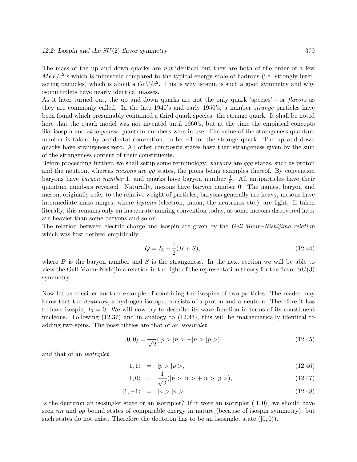The mass of the up and down quarks are *not* identical but they are both of the order of a few  $MeV/c^2$ 's which is minuscule compared to the typical energy scale of hadrons (i.e. strongly interacting particles) which is about a  $GeV/c^2$ . This is why isospin is such a good symmetry and why isomultiplets have nearly identical masses.

As it later turned out, the up and down quarks are not the only quark 'species' - or *flavors* as they are commonly called. In the late 1940's and early 1950's, a number *strange* particles have been found which presumably contained a third quark species: the strange quark. It shall be noted here that the quark model was not invented until 1960's, but at the time the empirical concepts like isospin and *strangeness* quantum numbers were in use. The value of the strangeness quantum number is taken, by accidental convention, to be  $-1$  for the strange quark. The up and down quarks have strangeness zero. All other composite states have their strangeness given by the sum of the strangeness content of their constituents.

Before proceeding further, we shall setup some terminology: *baryons* are qqq states, such as proton and the neutron, whereas *mesons* are  $q\bar{q}$  states, the pions being examples thereof. By convention baryons have *baryon number* 1, and quarks have baryon number  $\frac{1}{3}$ . All antiparticles have their quantum numbers reversed. Naturally, mesons have baryon number 0. The names, baryon and meson, originally refer to the relative weight of particles, baryons generally are heavy, mesons have intermediate mass ranges, where *leptons* (electron, muon, the neutrinos etc.) are light. If taken literally, this remains only an inaccurate naming convention today, as some mesons discovered later are heavier than some baryons and so on.

The relation between electric charge and isospin are given by the *Gell-Mann–Nishijima relation* which was first derived empirically

$$
Q = I_3 + \frac{1}{2}(B + S),\tag{12.44}
$$

where  $B$  is the baryon number and  $S$  is the strangeness. In the next section we will be able to view the Gell-Mann–Nishijima relation in the light of the representation theory for the flavor  $SU(3)$ symmetry.

Now let us consider another example of combining the isospins of two particles. The reader may know that the *deuteron*, a hydrogen isotope, consists of a proton and a neutron. Therefore it has to have isospin,  $I_3 = 0$ . We will now try to describe its wave function in terms of its constituent nucleons. Following  $(12.37)$  and in analogy to  $(12.43)$ , this will be mathematically identical to adding two spins. The possibilities are that of an *isosinglet*

$$
|0,0\rangle = \frac{1}{\sqrt{2}}(|p\rangle |n\rangle - |n\rangle |p\rangle)
$$
\n(12.45)

and that of an *isotriplet*

$$
|1,1\rangle = |p > |p >,\t\t(12.46)
$$

$$
|1,0\rangle = \frac{1}{\sqrt{2}}(|p>|n\rangle + |n\rangle |p\rangle), \qquad (12.47)
$$

$$
|1, -1\rangle = |n\rangle |n\rangle. \tag{12.48}
$$

Is the deuteron an isosinglet state or an isotriplet? If it were an isotriplet  $(1,0)$  we should have seen nn and pp bound states of comparable energy in nature (because of isospin symmetry), but such states do not exist. Therefore the deuteron has to be an isosinglet state  $(0,0)$ .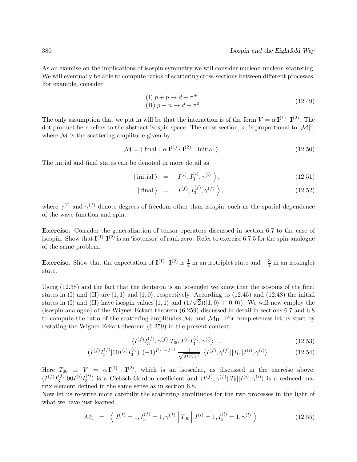As an exercise on the implications of isospin symmetry we will consider nucleon-nucleon scattering. We will eventually be able to compute ratios of scattering cross-sections between different processes. For example, consider

$$
(I) p + p \rightarrow d + \pi^{+}
$$
  
(II) p + n \rightarrow d + \pi^{0} (12.49)

The only assumption that we put in will be that the interaction is of the form  $V = \alpha \mathbf{I}^{(1)} \cdot \mathbf{I}^{(2)}$ . The dot product here refers to the abstract isospin space. The cross-section,  $\sigma$ , is proportional to  $|\mathcal{M}|^2$ , where  $\mathcal M$  is the scattering amplitude given by

$$
\mathcal{M} = \langle \text{ final } | \alpha \mathbf{I}^{(1)} \cdot \mathbf{I}^{(2)} | \text{ initial } \rangle. \tag{12.50}
$$

The initial and final states can be denoted in more detail as

$$
|\text{ initial }\rangle = |I^{(i)}, I_3^{(i)}, \gamma^{(i)}\rangle,
$$
\n(12.51)

$$
|\text{ final }\rangle = | I^{(f)}, I_3^{(f)}, \gamma^{(f)} \rangle, \qquad (12.52)
$$

where  $\gamma^{(i)}$  and  $\gamma^{(f)}$  denote degrees of freedom other than isospin, such as the spatial dependence of the wave function and spin.

**Exercise.** Consider the generalization of tensor operators discussed in section 6.7 to the case of isospin. Show that  $I^{(1)} \cdot I^{(2)}$  is an 'isotensor' of rank zero. Refer to exercise 6.7.5 for the spin-analogue of the same problem.

**Exercise.** Show that the expectation of  $\mathbf{I}^{(1)} \cdot \mathbf{I}^{(2)}$  is  $\frac{1}{4}$  in an isotriplet state and  $-\frac{3}{4}$  in an isosinglet state.

Using (12.38) and the fact that the deuteron is an isosinglet we know that the isospins of the final states in (I) and (II) are  $|1,1\rangle$  and  $|1,0\rangle$ , respectively. According to (12.45) and (12.48) the initial states in (I) and (II) are  $|1,1\rangle$  and  $|1,0\rangle$ , respectively. According to (12.45) and (12.48) the initial states in (I) and (II) have isospin values  $|1,1\rangle$  and  $(1/\sqrt{2})(|1,0\rangle + |0,0\rangle)$ . We will now employ the (isospin analogue) of the Wigner-Eckart theorem (6.259) discussed in detail in sections 6.7 and 6.8 to compute the ratio of the scattering amplitudes  $\mathcal{M}_{\rm I}$  and  $\mathcal{M}_{\rm II}$ . For completeness let us start by restating the Wigner-Eckart theorem (6.259) in the present context:

$$
\langle I^{(f)}I_3^{(f)}, \gamma^{(f)}|T_{00}|I^{(i)}I_3^{(i)}, \gamma^{(i)} \rangle = (12.53)
$$

$$
(I^{(f)}I_3^{(f)}|00I^{(i)}I_3^{(i)}) (-1)^{I^{(f)}-I^{(i)}} \frac{1}{\sqrt{2I^{(i)}+1}} \langle I^{(f)}, \gamma^{(f)}||T_0||I^{(i)}, \gamma^{(i)}\rangle. \tag{12.54}
$$

Here  $T_{00} \equiv V = \alpha \mathbf{I}^{(1)} \cdot \mathbf{I}^{(2)}$ , which is an isoscalar, as discussed in the exercise above.  $(I^{(f)}I_3^{(f)}|00I^{(i)}I_3^{(i)})$  is a Clebsch-Gordon coefficient and  $\langle I^{(f)}, \gamma^{(f)}||T_0||I^{(i)}, \gamma^{(i)}\rangle$  is a reduced matrix element defined in the same sense as in section 6.8.

Now let us re-write more carefully the scattering amplitudes for the two processes in the light of what we have just learned

$$
\mathcal{M}_{I} = \left\langle I^{(f)} = 1, I_{3}^{(f)} = 1, \gamma^{(f)} \middle| T_{00} \middle| I^{(i)} = 1, I_{3}^{(i)} = 1, \gamma^{(i)} \right\rangle \tag{12.55}
$$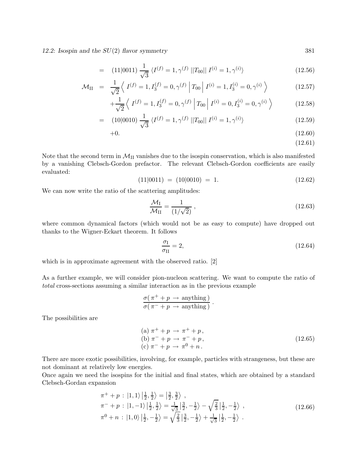*12.2: Isospin and the* SU(2) *flavor symmetry* 381

$$
= (11|0011) \frac{1}{\sqrt{3}} \langle I^{(f)} = 1, \gamma^{(f)} || T_{00} || I^{(i)} = 1, \gamma^{(i)} \rangle \tag{12.56}
$$

$$
\mathcal{M}_{II} = \frac{1}{\sqrt{2}} \left\langle I^{(f)} = 1, I_3^{(f)} = 0, \gamma^{(f)} \middle| T_{00} \middle| I^{(i)} = 1, I_3^{(i)} = 0, \gamma^{(i)} \right\rangle \tag{12.57}
$$

$$
+\frac{1}{\sqrt{2}}\left\langle I^{(f)}=1, I_3^{(f)}=0, \gamma^{(f)} \middle| T_{00} \middle| I^{(i)}=0, I_3^{(i)}=0, \gamma^{(i)} \right\rangle \tag{12.58}
$$

$$
= (10|0010) \frac{1}{\sqrt{3}} \langle I^{(f)} = 1, \gamma^{(f)} || T_{00} || I^{(i)} = 1, \gamma^{(i)} \rangle \qquad (12.59)
$$

$$
+0.\t(12.60)
$$

(12.61)

Note that the second term in  $\mathcal{M}_{II}$  vanishes due to the isospin conservation, which is also manifested by a vanishing Clebsch-Gordon prefactor. The relevant Clebsch-Gordon coefficients are easily evaluated:

$$
(11|0011) = (10|0010) = 1.
$$
\n
$$
(12.62)
$$

We can now write the ratio of the scattering amplitudes:

$$
\frac{\mathcal{M}_{\rm I}}{\mathcal{M}_{\rm II}} = \frac{1}{(1/\sqrt{2})},\tag{12.63}
$$

where common dynamical factors (which would not be as easy to compute) have dropped out thanks to the Wigner-Eckart theorem. It follows

$$
\frac{\sigma_{\rm I}}{\sigma_{\rm II}} = 2,\tag{12.64}
$$

which is in approximate agreement with the observed ratio. [2]

As a further example, we will consider pion-nucleon scattering. We want to compute the ratio of *total* cross-sections assuming a similar interaction as in the previous example

$$
\frac{\sigma(\pi^+ + p \to \text{anything})}{\sigma(\pi^- + p \to \text{anything})}.
$$

The possibilities are

(a) 
$$
\pi^+ + p \to \pi^+ + p
$$
,  
\n(b)  $\pi^- + p \to \pi^- + p$ ,  
\n(c)  $\pi^- + p \to \pi^0 + n$ .  
\n(12.65)

There are more exotic possibilities, involving, for example, particles with strangeness, but these are not dominant at relatively low energies.

Once again we need the isospins for the initial and final states, which are obtained by a standard Clebsch-Gordan expansion

$$
\pi^{+} + p : |1, 1\rangle \left|\frac{1}{2}, \frac{1}{2}\right\rangle = \left|\frac{3}{2}, \frac{3}{2}\right\rangle ,\n\pi^{-} + p : |1, -1\rangle \left|\frac{1}{2}, \frac{1}{2}\right\rangle = \frac{1}{\sqrt{3}} \left|\frac{3}{2}, -\frac{1}{2}\right\rangle - \sqrt{\frac{2}{3}} \left|\frac{1}{2}, -\frac{1}{2}\right\rangle ,\n\pi^{0} + n : |1, 0\rangle \left|\frac{1}{2}, -\frac{1}{2}\right\rangle = \sqrt{\frac{2}{3}} \left|\frac{3}{2}, -\frac{1}{2}\right\rangle + \frac{1}{\sqrt{3}} \left|\frac{1}{2}, -\frac{1}{2}\right\rangle .
$$
\n(12.66)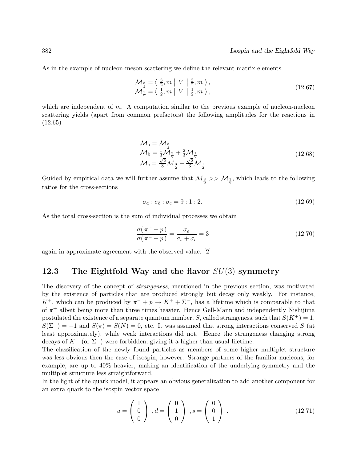As in the example of nucleon-meson scattering we define the relevant matrix elements

$$
\mathcal{M}_{\frac{3}{2}} = \left\langle \frac{3}{2}, m \middle| V \middle| \frac{3}{2}, m \right\rangle, \n\mathcal{M}_{\frac{1}{2}} = \left\langle \frac{1}{2}, m \middle| V \middle| \frac{1}{2}, m \right\rangle,
$$
\n(12.67)

which are independent of  $m$ . A computation similar to the previous example of nucleon-nucleon scattering yields (apart from common prefactors) the following amplitudes for the reactions in (12.65)

$$
\mathcal{M}_{a} = \mathcal{M}_{\frac{3}{2}}\n\mathcal{M}_{b} = \frac{1}{3}\mathcal{M}_{\frac{3}{2}} + \frac{2}{3}\mathcal{M}_{\frac{1}{2}}\n\mathcal{M}_{c} = \frac{\sqrt{2}}{3}\mathcal{M}_{\frac{3}{2}} - \frac{\sqrt{2}}{3}\mathcal{M}_{\frac{1}{2}}
$$
\n(12.68)

Guided by empirical data we will further assume that  $\mathcal{M}_{\frac{3}{2}} >> \mathcal{M}_{\frac{1}{2}}$ , which leads to the following ratios for the cross-sections

$$
\sigma_a : \sigma_b : \sigma_c = 9 : 1 : 2. \tag{12.69}
$$

As the total cross-section is the sum of individual processes we obtain

$$
\frac{\sigma(\pi^+ + p)}{\sigma(\pi^- + p)} = \frac{\sigma_a}{\sigma_b + \sigma_c} = 3\tag{12.70}
$$

again in approximate agreement with the observed value. [2]

# **12.3 The Eightfold Way and the flavor** SU(3) **symmetry**

The discovery of the concept of *strangeness*, mentioned in the previous section, was motivated by the existence of particles that are produced strongly but decay only weakly. For instance, K<sup>+</sup>, which can be produced by  $\pi^- + p \to K^+ + \Sigma^-$ , has a lifetime which is comparable to that of  $\pi^+$  albeit being more than three times heavier. Hence Gell-Mann and independently Nishijima postulated the existence of a separate quantum number, S, called strangeness, such that  $S(K^+) = 1$ ,  $S(\Sigma^-) = -1$  and  $S(\pi) = S(N) = 0$ , etc. It was assumed that strong interactions conserved S (at least approximately), while weak interactions did not. Hence the strangeness changing strong decays of  $K^+$  (or  $\Sigma^-$ ) were forbidden, giving it a higher than usual lifetime.

The classification of the newly found particles as members of some higher multiplet structure was less obvious then the case of isospin, however. Strange partners of the familiar nucleons, for example, are up to 40% heavier, making an identification of the underlying symmetry and the multiplet structure less straightforward.

In the light of the quark model, it appears an obvious generalization to add another component for an extra quark to the isospin vector space

$$
u = \begin{pmatrix} 1 \\ 0 \\ 0 \end{pmatrix}, d = \begin{pmatrix} 0 \\ 1 \\ 0 \end{pmatrix}, s = \begin{pmatrix} 0 \\ 0 \\ 1 \end{pmatrix}.
$$
 (12.71)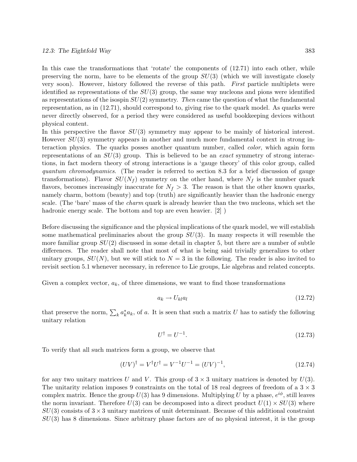In this case the transformations that 'rotate' the components of  $(12.71)$  into each other, while preserving the norm, have to be elements of the group  $SU(3)$  (which we will investigate closely very soon). However, history followed the reverse of this path. *First* particle multiplets were identified as representations of the  $SU(3)$  group, the same way nucleons and pions were identified as representations of the isospin SU(2) symmetry. *Then* came the question of what the fundamental representation, as in (12.71), should correspond to, giving rise to the quark model. As quarks were never directly observed, for a period they were considered as useful bookkeeping devices without physical content.

In this perspective the flavor  $SU(3)$  symmetry may appear to be mainly of historical interest. However  $SU(3)$  symmetry appears in another and much more fundamental context in strong interaction physics. The quarks posses another quantum number, called *color*, which again form representations of an SU(3) group. This is believed to be an *exact* symmetry of strong interactions, in fact modern theory of strong interactions is a 'gauge theory' of this color group, called *quantum chromodynamics*. (The reader is referred to section 8.3 for a brief discussion of gauge transformations). Flavor  $SU(N_f)$  symmetry on the other hand, where  $N_f$  is the number quark flavors, becomes increasingly inaccurate for  $N_f > 3$ . The reason is that the other known quarks, namely charm, bottom (beauty) and top (truth) are significantly heavier than the hadronic energy scale. (The 'bare' mass of the *charm* quark is already heavier than the two nucleons, which set the hadronic energy scale. The bottom and top are even heavier. [2]  $)$ 

Before discussing the significance and the physical implications of the quark model, we will establish some mathematical preliminaries about the group  $SU(3)$ . In many respects it will resemble the more familiar group  $SU(2)$  discussed in some detail in chapter 5, but there are a number of subtle differences. The reader shall note that most of what is being said trivially generalizes to other unitary groups,  $SU(N)$ , but we will stick to  $N = 3$  in the following. The reader is also invited to revisit section 5.1 whenever necessary, in reference to Lie groups, Lie algebras and related concepts.

Given a complex vector,  $a_k$ , of three dimensions, we want to find those transformations

$$
a_k \to U_{kl} a_l \tag{12.72}
$$

that preserve the norm,  $\sum_{k} a_{k}^{*} a_{k}$ , of a. It is seen that such a matrix U has to satisfy the following unitary relation

$$
U^{\dagger} = U^{-1}.\tag{12.73}
$$

To verify that all such matrices form a group, we observe that

$$
(UV)^{\dagger} = V^{\dagger}U^{\dagger} = V^{-1}U^{-1} = (UV)^{-1},\tag{12.74}
$$

for any two unitary matrices U and V. This group of  $3 \times 3$  unitary matrices is denoted by  $U(3)$ . The unitarity relation imposes 9 constraints on the total of 18 real degrees of freedom of a  $3 \times 3$ complex matrix. Hence the group  $U(3)$  has 9 dimensions. Multiplying U by a phase,  $e^{i\phi}$ , still leaves the norm invariant. Therefore  $U(3)$  can be decomposed into a direct product  $U(1) \times SU(3)$  where  $SU(3)$  consists of  $3 \times 3$  unitary matrices of unit determinant. Because of this additional constraint  $SU(3)$  has 8 dimensions. Since arbitrary phase factors are of no physical interest, it is the group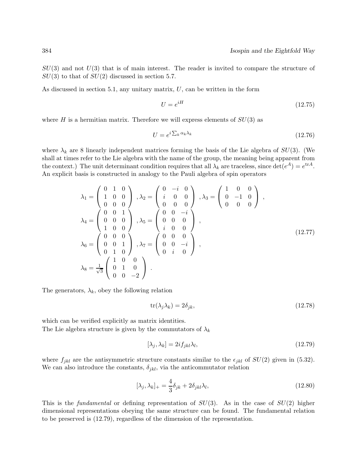$SU(3)$  and not  $U(3)$  that is of main interest. The reader is invited to compare the structure of  $SU(3)$  to that of  $SU(2)$  discussed in section 5.7.

As discussed in section 5.1, any unitary matrix,  $U$ , can be written in the form

$$
U = e^{iH} \tag{12.75}
$$

where H is a hermitian matrix. Therefore we will express elements of  $SU(3)$  as

$$
U = e^{i\sum_{k} \alpha_{k}\lambda_{k}} \tag{12.76}
$$

where  $\lambda_k$  are 8 linearly independent matrices forming the basis of the Lie algebra of  $SU(3)$ . (We shall at times refer to the Lie algebra with the name of the group, the meaning being apparent from the context.) The unit determinant condition requires that all  $\lambda_k$  are traceless, since  $\det(e^A) = e^{\text{tr}A}$ . An explicit basis is constructed in analogy to the Pauli algebra of spin operators

$$
\lambda_1 = \begin{pmatrix} 0 & 1 & 0 \\ 1 & 0 & 0 \\ 0 & 0 & 0 \end{pmatrix}, \lambda_2 = \begin{pmatrix} 0 & -i & 0 \\ i & 0 & 0 \\ 0 & 0 & 0 \end{pmatrix}, \lambda_3 = \begin{pmatrix} 1 & 0 & 0 \\ 0 & -1 & 0 \\ 0 & 0 & 0 \end{pmatrix},
$$
  
\n
$$
\lambda_4 = \begin{pmatrix} 0 & 0 & 1 \\ 0 & 0 & 0 \\ 1 & 0 & 0 \end{pmatrix}, \lambda_5 = \begin{pmatrix} 0 & 0 & -i \\ 0 & 0 & 0 \\ i & 0 & 0 \end{pmatrix},
$$
  
\n
$$
\lambda_6 = \begin{pmatrix} 0 & 0 & 0 \\ 0 & 0 & 1 \\ 0 & 1 & 0 \end{pmatrix}, \lambda_7 = \begin{pmatrix} 0 & 0 & 0 \\ 0 & 0 & -i \\ 0 & i & 0 \end{pmatrix},
$$
  
\n
$$
\lambda_8 = \frac{1}{\sqrt{3}} \begin{pmatrix} 1 & 0 & 0 \\ 0 & 1 & 0 \\ 0 & 0 & -2 \end{pmatrix}.
$$
  
\n(12.77)

The generators,  $\lambda_k$ , obey the following relation

$$
\operatorname{tr}(\lambda_j \lambda_k) = 2\delta_{jk},\tag{12.78}
$$

which can be verified explicitly as matrix identities. The Lie algebra structure is given by the commutators of  $\lambda_k$ 

$$
[\lambda_j, \lambda_k] = 2i f_{jkl} \lambda_l,\tag{12.79}
$$

where  $f_{jkl}$  are the antisymmetric structure constants similar to the  $\epsilon_{jkl}$  of  $SU(2)$  given in (5.32). We can also introduce the constants,  $\delta_{jkl}$ , via the anticommutator relation

$$
[\lambda_j, \lambda_k]_+ = \frac{4}{3}\delta_{jk} + 2\delta_{jkl}\lambda_l, \qquad (12.80)
$$

This is the *fundamental* or defining representation of SU(3). As in the case of SU(2) higher dimensional representations obeying the same structure can be found. The fundamental relation to be preserved is (12.79), regardless of the dimension of the representation.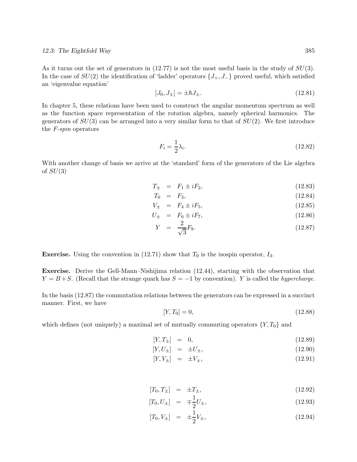As it turns out the set of generators in  $(12.77)$  is not the most useful basis in the study of  $SU(3)$ . In the case of  $SU(2)$  the identification of 'ladder' operators  $\{J_+, J_-\}$  proved useful, which satisfied an 'eigenvalue equation'

$$
[J_0, J_{\pm}] = \pm \hbar J_{\pm}.
$$
\n(12.81)

In chapter 5, these relations have been used to construct the angular momentum spectrum as well as the function space representation of the rotation algebra, namely spherical harmonics. The generators of  $SU(3)$  can be arranged into a very similar form to that of  $SU(2)$ . We first introduce the *F-spin* operators

$$
F_i = \frac{1}{2}\lambda_i. \tag{12.82}
$$

With another change of basis we arrive at the 'standard' form of the generators of the Lie algebra of  $SU(3)$ 

$$
T_{\pm} = F_1 \pm iF_2, \tag{12.83}
$$

$$
T_0 = F_3, \t(12.84)
$$

$$
V_{\pm} = F_4 \pm iF_5, \tag{12.85}
$$

$$
U_{\pm} = F_6 \pm iF_7, \tag{12.86}
$$

$$
Y = \frac{2}{\sqrt{3}} F_8. \tag{12.87}
$$

**Exercise.** Using the convention in (12.71) show that  $T_0$  is the isospin operator,  $I_3$ .

**Exercise.** Derive the Gell-Mann–Nishijima relation (12.44), starting with the observation that  $Y = B + S$ . (Recall that the strange quark has  $S = -1$  by convention). Y is called the *hypercharge*.

In the basis (12.87) the commutation relations between the generators can be expressed in a succinct manner. First, we have

$$
[Y, T_0] = 0,\t(12.88)
$$

which defines (not uniquely) a maximal set of mutually commuting operators  $\{Y,T_0\}$  and

$$
[Y, T_{\pm}] = 0, \t(12.89)
$$

$$
[Y, U_{\pm}] = \pm U_{\pm}, \qquad (12.90)
$$

$$
[Y, V_{\pm}] = \pm V_{\pm}, \qquad (12.91)
$$

$$
[T_0, T_{\pm}] = \pm T_{\pm}, \tag{12.92}
$$

$$
[T_0, U_{\pm}] = \mp \frac{1}{2} U_{\pm}, \qquad (12.93)
$$

$$
[T_0, V_{\pm}] = \pm \frac{1}{2} V_{\pm}, \qquad (12.94)
$$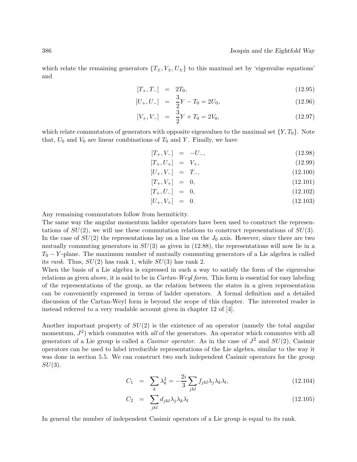which relate the remaining generators  $\{T_{\pm}, V_{\pm}, U_{\pm}\}\$  to this maximal set by 'eigenvalue equations' and

$$
[T_+, T_-] = 2T_0, \t(12.95)
$$

$$
[U_+, U_-] = \frac{3}{2}Y - T_0 = 2U_0,
$$
\n(12.96)

$$
[V_+, V_-] = \frac{3}{2}Y + T_0 = 2V_0, \qquad (12.97)
$$

which relate commutators of generators with opposite eigenvalues to the maximal set  $\{Y,T_0\}$ . Note that,  $U_0$  and  $V_0$  are linear combinations of  $T_0$  and Y. Finally, we have

$$
[T_+, V_-] = -U_-, \tag{12.98}
$$

$$
[T_+, U_+] = V_+, \tag{12.99}
$$

$$
[U_+, V_-] = T_-, \tag{12.100}
$$

$$
[T_+, V_+] = 0, \t(12.101)
$$

$$
[T_+, U_-] = 0, \t(12.102)
$$

$$
[U_+, V_+] = 0. \t(12.103)
$$

Any remaining commutators follow from hermiticity.

The same way the angular momentum ladder operators have been used to construct the representations of  $SU(2)$ , we will use these commutation relations to construct representations of  $SU(3)$ . In the case of  $SU(2)$  the representations lay on a line on the  $J_0$  axis. However, since there are two mutually commuting generators in  $SU(3)$  as given in  $(12.88)$ , the representations will now lie in a  $T_0 - Y$ -plane. The maximum number of mutually commuting generators of a Lie algebra is called its *rank*. Thus, SU(2) has rank 1, while SU(3) has rank 2.

When the basis of a Lie algebra is expressed in such a way to satisfy the form of the eigenvalue relations as given above, it is said to be in *Cartan-Weyl form*. This form is essential for easy labeling of the representations of the group, as the relation between the states in a given representation can be conveniently expressed in terms of ladder operators. A formal definition and a detailed discussion of the Cartan-Weyl form is beyond the scope of this chapter. The interested reader is instead referred to a very readable account given in chapter 12 of [4].

Another important property of  $SU(2)$  is the existence of an operator (namely the total angular momentum,  $J^2$ ) which commutes with *all* of the generators. An operator which commutes with all generators of a Lie group is called a *Casimir operator*. As in the case of  $J^2$  and  $SU(2)$ , Casimir operators can be used to label irreducible representations of the Lie algebra, similar to the way it was done in section 5.5. We can construct two such independent Casimir operators for the group  $SU(3)$ .

$$
C_1 = \sum_{k} \lambda_k^2 = -\frac{2i}{3} \sum_{jkl} f_{jkl} \lambda_j \lambda_k \lambda_l, \qquad (12.104)
$$

$$
C_2 = \sum_{jkl} d_{jkl} \lambda_j \lambda_k \lambda_l \tag{12.105}
$$

In general the number of independent Casimir operators of a Lie group is equal to its rank.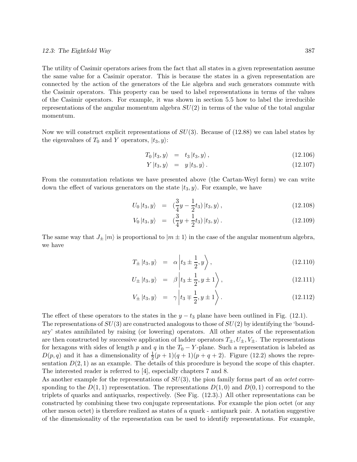The utility of Casimir operators arises from the fact that all states in a given representation assume the same value for a Casimir operator. This is because the states in a given representation are connected by the action of the generators of the Lie algebra and such generators commute with the Casimir operators. This property can be used to label representations in terms of the values of the Casimir operators. For example, it was shown in section 5.5 how to label the irreducible representations of the angular momentum algebra  $SU(2)$  in terms of the value of the total angular momentum.

Now we will construct explicit representations of  $SU(3)$ . Because of (12.88) we can label states by the eigenvalues of  $T_0$  and Y operators,  $|t_3, y\rangle$ :

$$
T_0 |t_3, y\rangle = t_3 |t_3, y\rangle, \qquad (12.106)
$$

$$
Y|t_3, y\rangle = y|t_3, y\rangle. \tag{12.107}
$$

From the commutation relations we have presented above (the Cartan-Weyl form) we can write down the effect of various generators on the state  $|t_3, y\rangle$ . For example, we have

$$
U_0 |t_3, y\rangle = \left(\frac{3}{4}y - \frac{1}{2}t_3\right)|t_3, y\rangle, \qquad (12.108)
$$

$$
V_0 |t_3, y\rangle = (\frac{3}{4}y + \frac{1}{2}t_3) |t_3, y\rangle.
$$
 (12.109)

The same way that  $J_{\pm} |m\rangle$  is proportional to  $|m \pm 1\rangle$  in the case of the angular momentum algebra, we have

$$
T_{\pm} |t_3, y\rangle = \alpha \left| t_3 \pm \frac{1}{2}, y \right\rangle, \qquad (12.110)
$$

$$
U_{\pm} |t_3, y\rangle = \beta \left| t_3 \pm \frac{1}{2}, y \pm 1 \right\rangle, \qquad (12.111)
$$

$$
V_{\pm} |t_3, y\rangle = \gamma \left| t_3 \mp \frac{1}{2}, y \pm 1 \right\rangle. \tag{12.112}
$$

The effect of these operators to the states in the  $y - t_3$  plane have been outlined in Fig. (12.1).

The representations of  $SU(3)$  are constructed analogous to those of  $SU(2)$  by identifying the 'boundary' states annihilated by raising (or lowering) operators. All other states of the representation are then constructed by successive application of ladder operators  $T_{\pm}, U_{\pm}, V_{\pm}$ . The representations for hexagons with sides of length p and q in the  $T_0 - Y$ -plane. Such a representation is labeled as  $D(p,q)$  and it has a dimensionality of  $\frac{1}{2}(p+1)(q+1)(p+q+2)$ . Figure (12.2) shows the representation  $D(2, 1)$  as an example. The details of this procedure is beyond the scope of this chapter. The interested reader is referred to [4], especially chapters 7 and 8.

As another example for the representations of SU(3), the pion family forms part of an *octet* corresponding to the  $D(1,1)$  representation. The representations  $D(1,0)$  and  $D(0,1)$  correspond to the triplets of quarks and antiquarks, respectively. (See Fig. (12.3).) All other representations can be constructed by combining these two conjugate representations. For example the pion octet (or any other meson octet) is therefore realized as states of a quark - antiquark pair. A notation suggestive of the dimensionality of the representation can be used to identify representations. For example,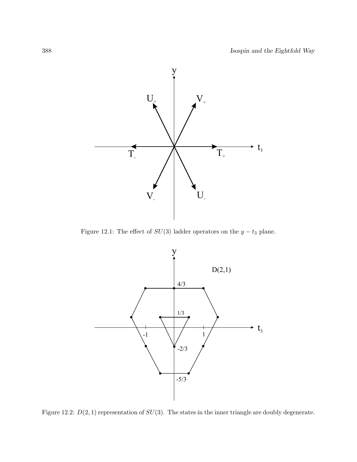

Figure 12.1: The effect of  $SU(3)$  ladder operators on the  $y - t_3$  plane.



Figure 12.2:  $D(2, 1)$  representation of  $SU(3)$ . The states in the inner triangle are doubly degenerate.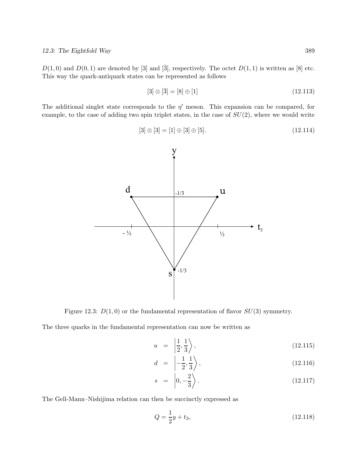$D(1,0)$  and  $D(0,1)$  are denoted by [3] and [3], respectively. The octet  $D(1,1)$  is written as [8] etc. This way the quark-antiquark states can be represented as follows

$$
[3] \otimes [\bar{3}] = [8] \oplus [1] \tag{12.113}
$$

The additional singlet state corresponds to the  $\eta'$  meson. This expansion can be compared, for example, to the case of adding two spin triplet states, in the case of  $SU(2)$ , where we would write

$$
[3] \otimes [3] = [1] \oplus [3] \oplus [5]. \tag{12.114}
$$



Figure 12.3:  $D(1,0)$  or the fundamental representation of flavor  $SU(3)$  symmetry.

The three quarks in the fundamental representation can now be written as

$$
u = \left| \frac{1}{2}, \frac{1}{3} \right\rangle, \tag{12.115}
$$

$$
d = \left| -\frac{1}{2}, \frac{1}{3} \right\rangle, \tag{12.116}
$$

$$
s = \left| 0, -\frac{2}{3} \right\rangle. \tag{12.117}
$$

The Gell-Mann–Nishijima relation can then be succinctly expressed as

$$
Q = \frac{1}{2}y + t_3,\tag{12.118}
$$